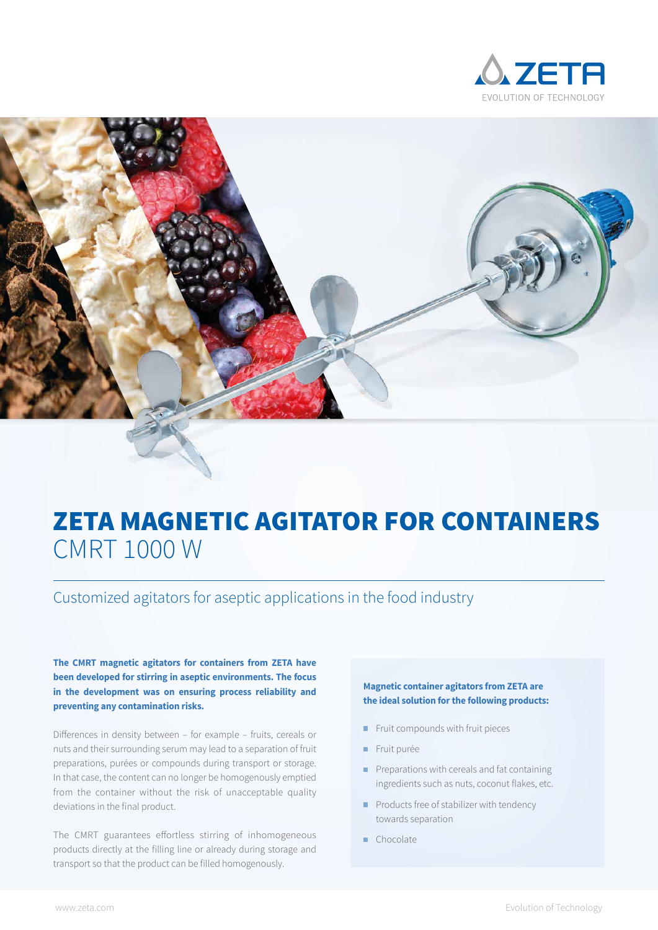



# ZETA MAGNETIC AGITATOR FOR CONTAINERS CMRT 1000 W

Customized agitators for aseptic applications in the food industry

**The CMRT magnetic agitators for containers from ZETA have been developed for stirring in aseptic environments. The focus in the development was on ensuring process reliability and preventing any contamination risks.** 

Differences in density between – for example – fruits, cereals or nuts and their surrounding serum may lead to a separation of fruit preparations, purées or compounds during transport or storage. In that case, the content can no longer be homogenously emptied from the container without the risk of unacceptable quality deviations in the final product.

The CMRT guarantees effortless stirring of inhomogeneous products directly at the filling line or already during storage and transport so that the product can be filled homogenously.

#### **Magnetic container agitators from ZETA are the ideal solution for the following products:**

- $\blacksquare$ Fruit compounds with fruit pieces
- Fruit purée
- Preparations with cereals and fat containing  $\mathbf{r}$ ingredients such as nuts, coconut flakes, etc.
- **Products free of stabilizer with tendency** towards separation
- Chocolate